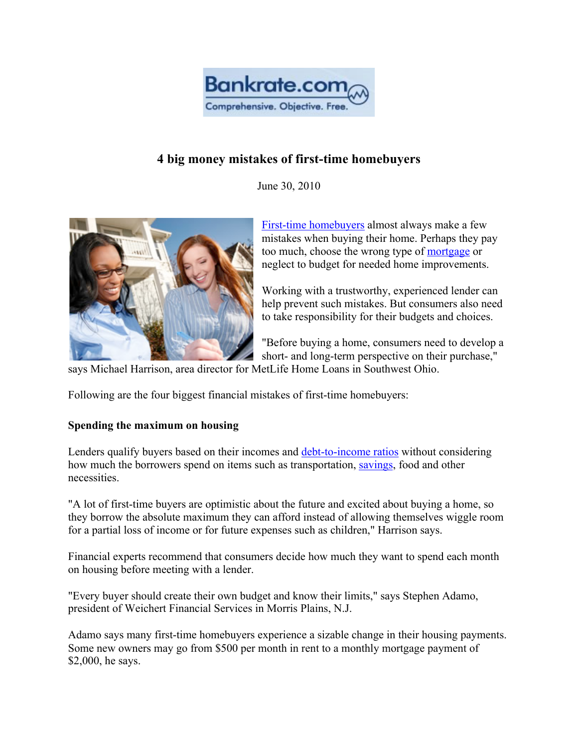

# **4 big money mistakes of first-time homebuyers**

June 30, 2010



First-time homebuyers almost always make a few mistakes when buying their home. Perhaps they pay too much, choose the wrong type of mortgage or neglect to budget for needed home improvements.

Working with a trustworthy, experienced lender can help prevent such mistakes. But consumers also need to take responsibility for their budgets and choices.

"Before buying a home, consumers need to develop a short- and long-term perspective on their purchase,"

says Michael Harrison, area director for MetLife Home Loans in Southwest Ohio.

Following are the four biggest financial mistakes of first-time homebuyers:

## **Spending the maximum on housing**

Lenders qualify buyers based on their incomes and debt-to-income ratios without considering how much the borrowers spend on items such as transportation, savings, food and other necessities.

"A lot of first-time buyers are optimistic about the future and excited about buying a home, so they borrow the absolute maximum they can afford instead of allowing themselves wiggle room for a partial loss of income or for future expenses such as children," Harrison says.

Financial experts recommend that consumers decide how much they want to spend each month on housing before meeting with a lender.

"Every buyer should create their own budget and know their limits," says Stephen Adamo, president of Weichert Financial Services in Morris Plains, N.J.

Adamo says many first-time homebuyers experience a sizable change in their housing payments. Some new owners may go from \$500 per month in rent to a monthly mortgage payment of \$2,000, he says.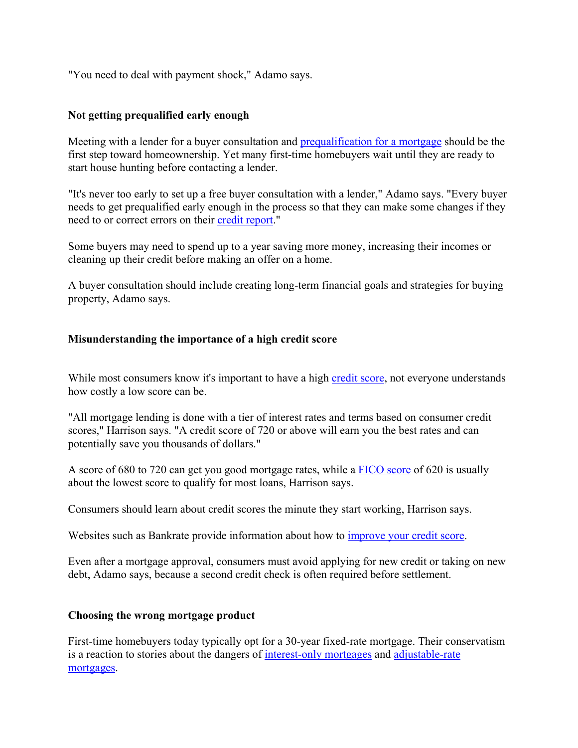"You need to deal with payment shock," Adamo says.

### **Not getting prequalified early enough**

Meeting with a lender for a buyer consultation and prequalification for a mortgage should be the first step toward homeownership. Yet many first-time homebuyers wait until they are ready to start house hunting before contacting a lender.

"It's never too early to set up a free buyer consultation with a lender," Adamo says. "Every buyer needs to get prequalified early enough in the process so that they can make some changes if they need to or correct errors on their credit report."

Some buyers may need to spend up to a year saving more money, increasing their incomes or cleaning up their credit before making an offer on a home.

A buyer consultation should include creating long-term financial goals and strategies for buying property, Adamo says.

### **Misunderstanding the importance of a high credit score**

While most consumers know it's important to have a high credit score, not everyone understands how costly a low score can be.

"All mortgage lending is done with a tier of interest rates and terms based on consumer credit scores," Harrison says. "A credit score of 720 or above will earn you the best rates and can potentially save you thousands of dollars."

A score of 680 to 720 can get you good mortgage rates, while a FICO score of 620 is usually about the lowest score to qualify for most loans, Harrison says.

Consumers should learn about credit scores the minute they start working, Harrison says.

Websites such as Bankrate provide information about how to improve your credit score.

Even after a mortgage approval, consumers must avoid applying for new credit or taking on new debt, Adamo says, because a second credit check is often required before settlement.

#### **Choosing the wrong mortgage product**

First-time homebuyers today typically opt for a 30-year fixed-rate mortgage. Their conservatism is a reaction to stories about the dangers of interest-only mortgages and adjustable-rate mortgages.